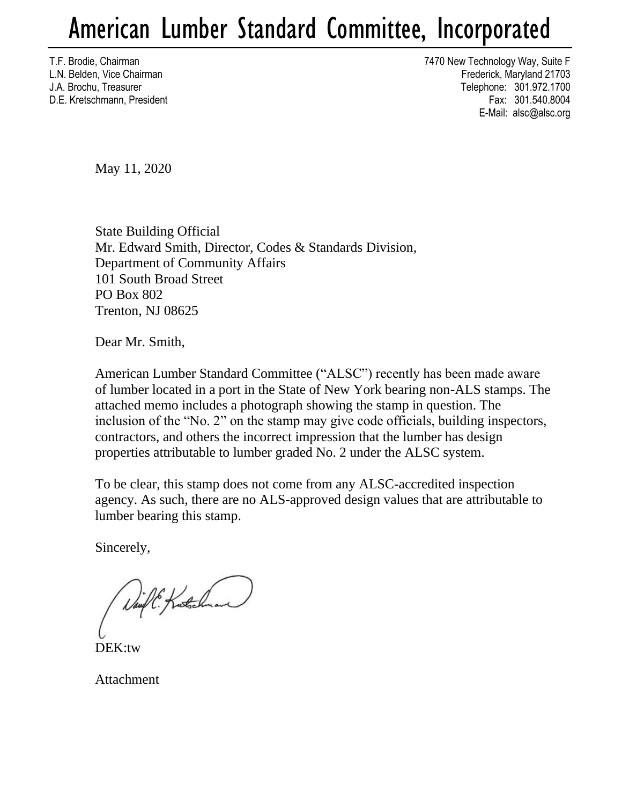## American Lumber Standard Committee, Incorporated

T.F. Brodie, Chairman 7470 New Technology Way, Suite F L.N. Belden, Vice Chairman Frederick, Maryland 21703 J.A. Brochu, Treasurer Telephone: 301.972.1700 D.E. Kretschmann, President Fax: 301.540.8004 E-Mail: alsc@alsc.org

May 11, 2020

State Building Official Mr. Edward Smith, Director, Codes & Standards Division, Department of Community Affairs 101 South Broad Street PO Box 802 Trenton, NJ 08625

Dear Mr. Smith,

American Lumber Standard Committee ("ALSC") recently has been made aware of lumber located in a port in the State of New York bearing non-ALS stamps. The attached memo includes a photograph showing the stamp in question. The inclusion of the "No. 2" on the stamp may give code officials, building inspectors, contractors, and others the incorrect impression that the lumber has design properties attributable to lumber graded No. 2 under the ALSC system.

To be clear, this stamp does not come from any ALSC-accredited inspection agency. As such, there are no ALS-approved design values that are attributable to lumber bearing this stamp.

Sincerely,

Daift: Kutchnam

DEK:tw

Attachment